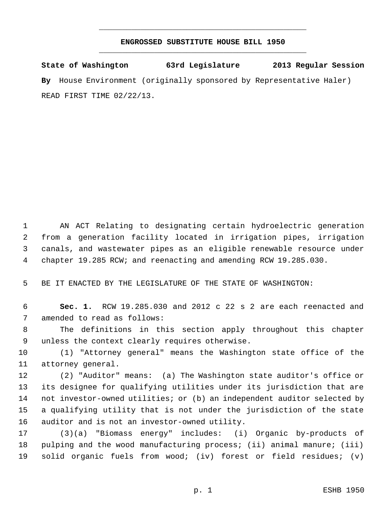## **ENGROSSED SUBSTITUTE HOUSE BILL 1950** \_\_\_\_\_\_\_\_\_\_\_\_\_\_\_\_\_\_\_\_\_\_\_\_\_\_\_\_\_\_\_\_\_\_\_\_\_\_\_\_\_\_\_\_\_

\_\_\_\_\_\_\_\_\_\_\_\_\_\_\_\_\_\_\_\_\_\_\_\_\_\_\_\_\_\_\_\_\_\_\_\_\_\_\_\_\_\_\_\_\_

**State of Washington 63rd Legislature 2013 Regular Session By** House Environment (originally sponsored by Representative Haler) READ FIRST TIME 02/22/13.

 AN ACT Relating to designating certain hydroelectric generation from a generation facility located in irrigation pipes, irrigation canals, and wastewater pipes as an eligible renewable resource under chapter 19.285 RCW; and reenacting and amending RCW 19.285.030.

BE IT ENACTED BY THE LEGISLATURE OF THE STATE OF WASHINGTON:

 **Sec. 1.** RCW 19.285.030 and 2012 c 22 s 2 are each reenacted and amended to read as follows:

 The definitions in this section apply throughout this chapter unless the context clearly requires otherwise.

 (1) "Attorney general" means the Washington state office of the attorney general.

 (2) "Auditor" means: (a) The Washington state auditor's office or its designee for qualifying utilities under its jurisdiction that are not investor-owned utilities; or (b) an independent auditor selected by a qualifying utility that is not under the jurisdiction of the state auditor and is not an investor-owned utility.

 (3)(a) "Biomass energy" includes: (i) Organic by-products of pulping and the wood manufacturing process; (ii) animal manure; (iii) solid organic fuels from wood; (iv) forest or field residues; (v)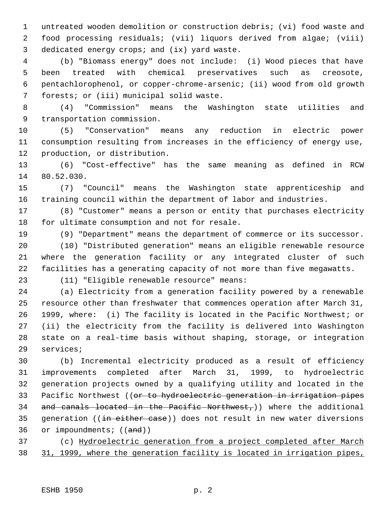untreated wooden demolition or construction debris; (vi) food waste and food processing residuals; (vii) liquors derived from algae; (viii) dedicated energy crops; and (ix) yard waste.

 (b) "Biomass energy" does not include: (i) Wood pieces that have been treated with chemical preservatives such as creosote, pentachlorophenol, or copper-chrome-arsenic; (ii) wood from old growth forests; or (iii) municipal solid waste.

 (4) "Commission" means the Washington state utilities and transportation commission.

 (5) "Conservation" means any reduction in electric power consumption resulting from increases in the efficiency of energy use, production, or distribution.

 (6) "Cost-effective" has the same meaning as defined in RCW 80.52.030.

 (7) "Council" means the Washington state apprenticeship and training council within the department of labor and industries.

 (8) "Customer" means a person or entity that purchases electricity for ultimate consumption and not for resale.

(9) "Department" means the department of commerce or its successor.

 (10) "Distributed generation" means an eligible renewable resource where the generation facility or any integrated cluster of such facilities has a generating capacity of not more than five megawatts.

(11) "Eligible renewable resource" means:

 (a) Electricity from a generation facility powered by a renewable resource other than freshwater that commences operation after March 31, 1999, where: (i) The facility is located in the Pacific Northwest; or (ii) the electricity from the facility is delivered into Washington state on a real-time basis without shaping, storage, or integration services;

 (b) Incremental electricity produced as a result of efficiency improvements completed after March 31, 1999, to hydroelectric generation projects owned by a qualifying utility and located in the 33 Pacific Northwest ((or to hydroelectric generation in irrigation pipes 34 and canals located in the Pacific Northwest,)) where the additional 35 generation ((in either case)) does not result in new water diversions 36 or impoundments; ((and))

 (c) Hydroelectric generation from a project completed after March 31, 1999, where the generation facility is located in irrigation pipes,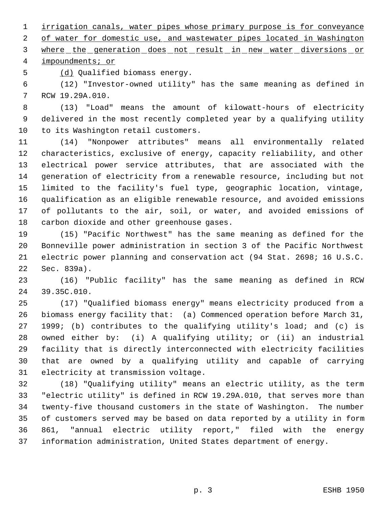irrigation canals, water pipes whose primary purpose is for conveyance 2 of water for domestic use, and wastewater pipes located in Washington 3 where the generation does not result in new water diversions or

impoundments; or

(d) Qualified biomass energy.

 (12) "Investor-owned utility" has the same meaning as defined in RCW 19.29A.010.

 (13) "Load" means the amount of kilowatt-hours of electricity delivered in the most recently completed year by a qualifying utility to its Washington retail customers.

 (14) "Nonpower attributes" means all environmentally related characteristics, exclusive of energy, capacity reliability, and other electrical power service attributes, that are associated with the generation of electricity from a renewable resource, including but not limited to the facility's fuel type, geographic location, vintage, qualification as an eligible renewable resource, and avoided emissions of pollutants to the air, soil, or water, and avoided emissions of carbon dioxide and other greenhouse gases.

 (15) "Pacific Northwest" has the same meaning as defined for the Bonneville power administration in section 3 of the Pacific Northwest electric power planning and conservation act (94 Stat. 2698; 16 U.S.C. Sec. 839a).

 (16) "Public facility" has the same meaning as defined in RCW 39.35C.010.

 (17) "Qualified biomass energy" means electricity produced from a biomass energy facility that: (a) Commenced operation before March 31, 1999; (b) contributes to the qualifying utility's load; and (c) is owned either by: (i) A qualifying utility; or (ii) an industrial facility that is directly interconnected with electricity facilities that are owned by a qualifying utility and capable of carrying electricity at transmission voltage.

 (18) "Qualifying utility" means an electric utility, as the term "electric utility" is defined in RCW 19.29A.010, that serves more than twenty-five thousand customers in the state of Washington. The number of customers served may be based on data reported by a utility in form 861, "annual electric utility report," filed with the energy information administration, United States department of energy.